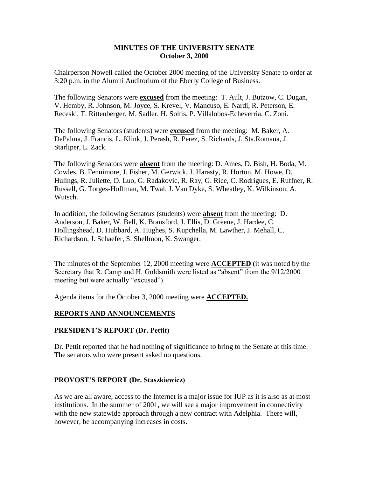### **MINUTES OF THE UNIVERSITY SENATE October 3, 2000**

Chairperson Nowell called the October 2000 meeting of the University Senate to order at 3:20 p.m. in the Alumni Auditorium of the Eberly College of Business.

The following Senators were **excused** from the meeting: T. Ault, J. Butzow, C. Dugan, V. Hemby, R. Johnson, M. Joyce, S. Krevel, V. Mancuso, E. Nardi, R. Peterson, E. Receski, T. Rittenberger, M. Sadler, H. Soltis, P. Villalobos-Echeverria, C. Zoni.

The following Senators (students) were **excused** from the meeting: M. Baker, A. DePalma, J. Francis, L. Klink, J. Perash, R. Perez, S. Richards, J. Sta.Romana, J. Starliper, L. Zack.

The following Senators were **absent** from the meeting: D. Ames, D. Bish, H. Boda, M. Cowles, B. Fennimore, J. Fisher, M. Gerwick, J. Harasty, R. Horton, M. Howe, D. Hulings, R. Juliette, D. Luo, G. Radakovic, R. Ray, G. Rice, C. Rodrigues, E. Ruffner, R. Russell, G. Torges-Hoffman, M. Twal, J. Van Dyke, S. Wheatley, K. Wilkinson, A. Wutsch.

In addition, the following Senators (students) were **absent** from the meeting: D. Anderson, J. Baker, W. Bell, K. Bransford, J. Ellis, D. Greene, J. Hardee, C. Hollingshead, D. Hubbard, A. Hughes, S. Kupchella, M. Lawther, J. Mehall, C. Richardson, J. Schaefer, S. Shellmon, K. Swanger.

The minutes of the September 12, 2000 meeting were **ACCEPTED** (it was noted by the Secretary that R. Camp and H. Goldsmith were listed as "absent" from the 9/12/2000 meeting but were actually "excused").

Agenda items for the October 3, 2000 meeting were **ACCEPTED.**

#### **REPORTS AND ANNOUNCEMENTS**

#### **PRESIDENT'S REPORT (Dr. Pettit)**

Dr. Pettit reported that he had nothing of significance to bring to the Senate at this time. The senators who were present asked no questions.

#### **PROVOST'S REPORT (Dr. Staszkiewicz)**

As we are all aware, access to the Internet is a major issue for IUP as it is also as at most institutions. In the summer of 2001, we will see a major improvement in connectivity with the new statewide approach through a new contract with Adelphia. There will, however, be accompanying increases in costs.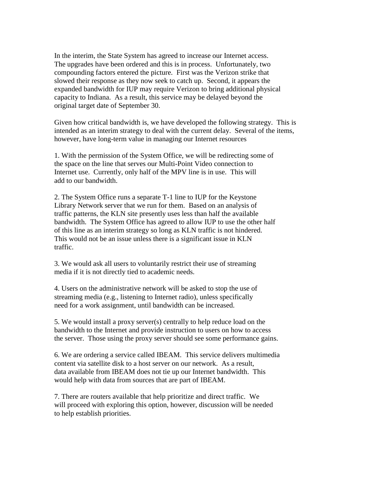In the interim, the State System has agreed to increase our Internet access. The upgrades have been ordered and this is in process. Unfortunately, two compounding factors entered the picture. First was the Verizon strike that slowed their response as they now seek to catch up. Second, it appears the expanded bandwidth for IUP may require Verizon to bring additional physical capacity to Indiana. As a result, this service may be delayed beyond the original target date of September 30.

Given how critical bandwidth is, we have developed the following strategy. This is intended as an interim strategy to deal with the current delay. Several of the items, however, have long-term value in managing our Internet resources

1. With the permission of the System Office, we will be redirecting some of the space on the line that serves our Multi-Point Video connection to Internet use. Currently, only half of the MPV line is in use. This will add to our bandwidth.

2. The System Office runs a separate T-1 line to IUP for the Keystone Library Network server that we run for them. Based on an analysis of traffic patterns, the KLN site presently uses less than half the available bandwidth. The System Office has agreed to allow IUP to use the other half of this line as an interim strategy so long as KLN traffic is not hindered. This would not be an issue unless there is a significant issue in KLN traffic.

3. We would ask all users to voluntarily restrict their use of streaming media if it is not directly tied to academic needs.

4. Users on the administrative network will be asked to stop the use of streaming media (e.g., listening to Internet radio), unless specifically need for a work assignment, until bandwidth can be increased.

5. We would install a proxy server(s) centrally to help reduce load on the bandwidth to the Internet and provide instruction to users on how to access the server. Those using the proxy server should see some performance gains.

6. We are ordering a service called IBEAM. This service delivers multimedia content via satellite disk to a host server on our network. As a result, data available from IBEAM does not tie up our Internet bandwidth. This would help with data from sources that are part of IBEAM.

7. There are routers available that help prioritize and direct traffic. We will proceed with exploring this option, however, discussion will be needed to help establish priorities.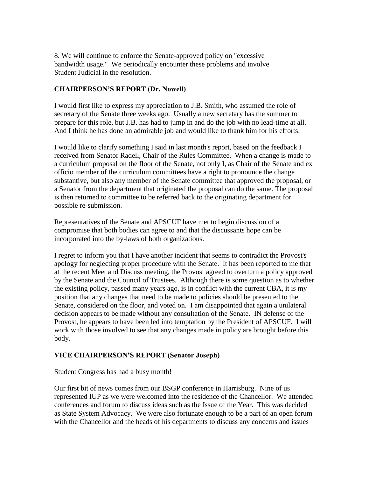8. We will continue to enforce the Senate-approved policy on "excessive bandwidth usage." We periodically encounter these problems and involve Student Judicial in the resolution.

## **CHAIRPERSON'S REPORT (Dr. Nowell)**

I would first like to express my appreciation to J.B. Smith, who assumed the role of secretary of the Senate three weeks ago. Usually a new secretary has the summer to prepare for this role, but J.B. has had to jump in and do the job with no lead-time at all. And I think he has done an admirable job and would like to thank him for his efforts.

I would like to clarify something I said in last month's report, based on the feedback I received from Senator Radell, Chair of the Rules Committee. When a change is made to a curriculum proposal on the floor of the Senate, not only I, as Chair of the Senate and ex officio member of the curriculum committees have a right to pronounce the change substantive, but also any member of the Senate committee that approved the proposal, or a Senator from the department that originated the proposal can do the same. The proposal is then returned to committee to be referred back to the originating department for possible re-submission.

Representatives of the Senate and APSCUF have met to begin discussion of a compromise that both bodies can agree to and that the discussants hope can be incorporated into the by-laws of both organizations.

I regret to inform you that I have another incident that seems to contradict the Provost's apology for neglecting proper procedure with the Senate. It has been reported to me that at the recent Meet and Discuss meeting, the Provost agreed to overturn a policy approved by the Senate and the Council of Trustees. Although there is some question as to whether the existing policy, passed many years ago, is in conflict with the current CBA, it is my position that any changes that need to be made to policies should be presented to the Senate, considered on the floor, and voted on. I am disappointed that again a unilateral decision appears to be made without any consultation of the Senate. IN defense of the Provost, he appears to have been led into temptation by the President of APSCUF. I will work with those involved to see that any changes made in policy are brought before this body.

## **VICE CHAIRPERSON'S REPORT (Senator Joseph)**

Student Congress has had a busy month!

Our first bit of news comes from our BSGP conference in Harrisburg. Nine of us represented IUP as we were welcomed into the residence of the Chancellor. We attended conferences and forum to discuss ideas such as the Issue of the Year. This was decided as State System Advocacy. We were also fortunate enough to be a part of an open forum with the Chancellor and the heads of his departments to discuss any concerns and issues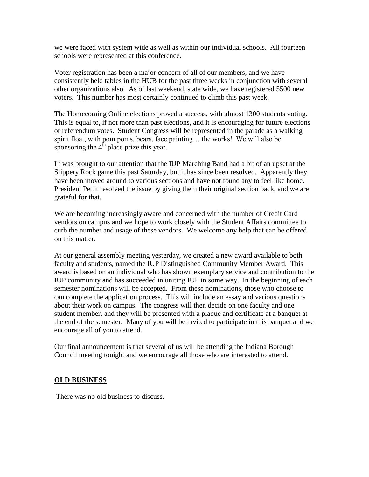we were faced with system wide as well as within our individual schools. All fourteen schools were represented at this conference.

Voter registration has been a major concern of all of our members, and we have consistently held tables in the HUB for the past three weeks in conjunction with several other organizations also. As of last weekend, state wide, we have registered 5500 new voters. This number has most certainly continued to climb this past week.

The Homecoming Online elections proved a success, with almost 1300 students voting. This is equal to, if not more than past elections, and it is encouraging for future elections or referendum votes. Student Congress will be represented in the parade as a walking spirit float, with pom poms, bears, face painting… the works! We will also be sponsoring the  $4<sup>th</sup>$  place prize this year.

I t was brought to our attention that the IUP Marching Band had a bit of an upset at the Slippery Rock game this past Saturday, but it has since been resolved. Apparently they have been moved around to various sections and have not found any to feel like home. President Pettit resolved the issue by giving them their original section back, and we are grateful for that.

We are becoming increasingly aware and concerned with the number of Credit Card vendors on campus and we hope to work closely with the Student Affairs committee to curb the number and usage of these vendors. We welcome any help that can be offered on this matter.

At our general assembly meeting yesterday, we created a new award available to both faculty and students, named the IUP Distinguished Community Member Award. This award is based on an individual who has shown exemplary service and contribution to the IUP community and has succeeded in uniting IUP in some way. In the beginning of each semester nominations will be accepted. From these nominations, those who choose to can complete the application process. This will include an essay and various questions about their work on campus. The congress will then decide on one faculty and one student member, and they will be presented with a plaque and certificate at a banquet at the end of the semester. Many of you will be invited to participate in this banquet and we encourage all of you to attend.

Our final announcement is that several of us will be attending the Indiana Borough Council meeting tonight and we encourage all those who are interested to attend.

#### **OLD BUSINESS**

There was no old business to discuss.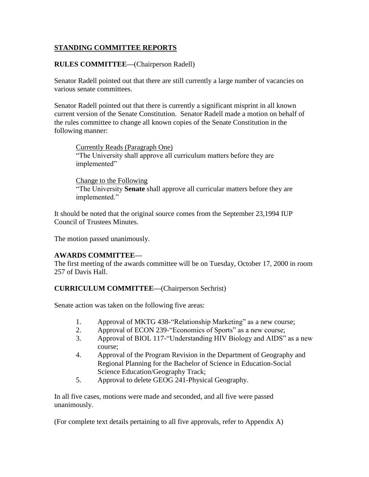# **STANDING COMMITTEE REPORTS**

## **RULES COMMITTEE—**(Chairperson Radell)

Senator Radell pointed out that there are still currently a large number of vacancies on various senate committees.

Senator Radell pointed out that there is currently a significant misprint in all known current version of the Senate Constitution. Senator Radell made a motion on behalf of the rules committee to change all known copies of the Senate Constitution in the following manner:

Currently Reads (Paragraph One) "The University shall approve all curriculum matters before they are implemented"

Change to the Following "The University **Senate** shall approve all curricular matters before they are implemented."

It should be noted that the original source comes from the September 23,1994 IUP Council of Trustees Minutes.

The motion passed unanimously.

## **AWARDS COMMITTEE—**

The first meeting of the awards committee will be on Tuesday, October 17, 2000 in room 257 of Davis Hall.

#### **CURRICULUM COMMITTEE—**(Chairperson Sechrist)

Senate action was taken on the following five areas:

- 1. Approval of MKTG 438-"Relationship Marketing" as a new course;
- 2. Approval of ECON 239-"Economics of Sports" as a new course;
- 3. Approval of BIOL 117-"Understanding HIV Biology and AIDS" as a new course;
- 4. Approval of the Program Revision in the Department of Geography and Regional Planning for the Bachelor of Science in Education-Social Science Education/Geography Track;
- 5. Approval to delete GEOG 241-Physical Geography.

In all five cases, motions were made and seconded, and all five were passed unanimously.

(For complete text details pertaining to all five approvals, refer to Appendix A)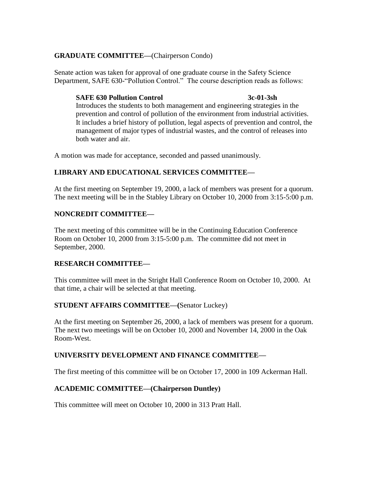# **GRADUATE COMMITTEE—**(Chairperson Condo)

Senate action was taken for approval of one graduate course in the Safety Science Department, SAFE 630-"Pollution Control." The course description reads as follows:

### **SAFE 630 Pollution Control 3c-01-3sh**

Introduces the students to both management and engineering strategies in the prevention and control of pollution of the environment from industrial activities. It includes a brief history of pollution, legal aspects of prevention and control, the management of major types of industrial wastes, and the control of releases into both water and air.

A motion was made for acceptance, seconded and passed unanimously.

# **LIBRARY AND EDUCATIONAL SERVICES COMMITTEE—**

At the first meeting on September 19, 2000, a lack of members was present for a quorum. The next meeting will be in the Stabley Library on October 10, 2000 from 3:15-5:00 p.m.

# **NONCREDIT COMMITTEE—**

The next meeting of this committee will be in the Continuing Education Conference Room on October 10, 2000 from 3:15-5:00 p.m. The committee did not meet in September, 2000.

## **RESEARCH COMMITTEE—**

This committee will meet in the Stright Hall Conference Room on October 10, 2000. At that time, a chair will be selected at that meeting.

## **STUDENT AFFAIRS COMMITTEE—(**Senator Luckey)

At the first meeting on September 26, 2000, a lack of members was present for a quorum. The next two meetings will be on October 10, 2000 and November 14, 2000 in the Oak Room-West.

## **UNIVERSITY DEVELOPMENT AND FINANCE COMMITTEE—**

The first meeting of this committee will be on October 17, 2000 in 109 Ackerman Hall.

## **ACADEMIC COMMITTEE—(Chairperson Duntley)**

This committee will meet on October 10, 2000 in 313 Pratt Hall.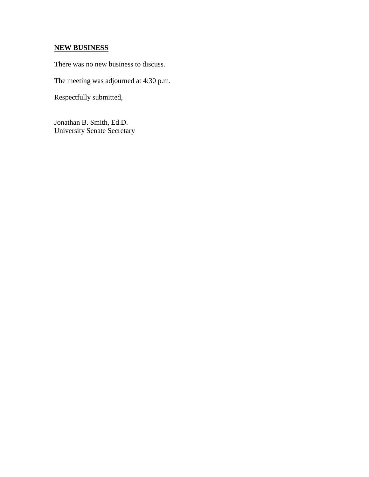# **NEW BUSINESS**

There was no new business to discuss.

The meeting was adjourned at 4:30 p.m.

Respectfully submitted,

Jonathan B. Smith, Ed.D. University Senate Secretary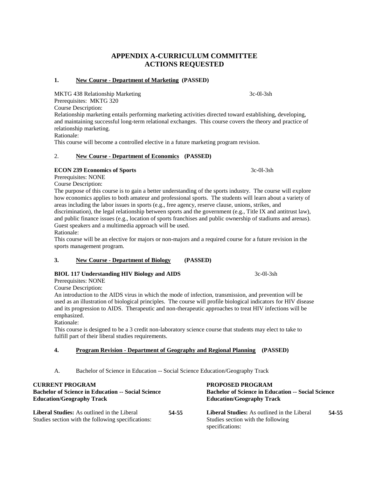# **APPENDIX A-CURRICULUM COMMITTEE ACTIONS REQUESTED**

#### **1. New Course - Department of Marketing (PASSED)**

MKTG 438 Relationship Marketing 3c-0l-3sh

Prerequisites: MKTG 320

Course Description:

Relationship marketing entails performing marketing activities directed toward establishing, developing, and maintaining successful long-term relational exchanges. This course covers the theory and practice of relationship marketing.

Rationale:

This course will become a controlled elective in a future marketing program revision.

#### 2. **New Course - Department of Economics (PASSED)**

#### **ECON 239 Economics of Sports** 3c-0l-3sh

Prerequisites: NONE

Course Description:

The purpose of this course is to gain a better understanding of the sports industry. The course will explore how economics applies to both amateur and professional sports. The students will learn about a variety of areas including the labor issues in sports (e.g., free agency, reserve clause, unions, strikes, and discrimination), the legal relationship between sports and the government (e.g., Title IX and antitrust law), and public finance issues (e.g., location of sports franchises and public ownership of stadiums and arenas). Guest speakers and a multimedia approach will be used.

Rationale:

This course will be an elective for majors or non-majors and a required course for a future revision in the sports management program.

#### **3. New Course - Department of Biology (PASSED)**

#### **BIOL 117 Understanding HIV Biology and AIDS** 3c-0l-3sh

Prerequisites: NONE Course Description:

An introduction to the AIDS virus in which the mode of infection, transmission, and prevention will be used as an illustration of biological principles. The course will profile biological indicators for HIV disease and its progression to AIDS. Therapeutic and non-therapeutic approaches to treat HIV infections will be emphasized.

Rationale:

This course is designed to be a 3 credit non-laboratory science course that students may elect to take to fulfill part of their liberal studies requirements.

#### **4. Program Revision - Department of Geography and Regional Planning (PASSED)**

A. Bachelor of Science in Education -- Social Science Education/Geography Track

| <b>CURRENT PROGRAM</b>                                                                                   | PROPOSED PROGRAM                                          |                                                                                                             |       |
|----------------------------------------------------------------------------------------------------------|-----------------------------------------------------------|-------------------------------------------------------------------------------------------------------------|-------|
| <b>Bachelor of Science in Education -- Social Science</b>                                                | <b>Bachelor of Science in Education -- Social Science</b> |                                                                                                             |       |
| <b>Education/Geography Track</b>                                                                         | <b>Education/Geography Track</b>                          |                                                                                                             |       |
| <b>Liberal Studies:</b> As outlined in the Liberal<br>Studies section with the following specifications: | 54-55                                                     | <b>Liberal Studies:</b> As outlined in the Liberal<br>Studies section with the following<br>specifications: | 54-55 |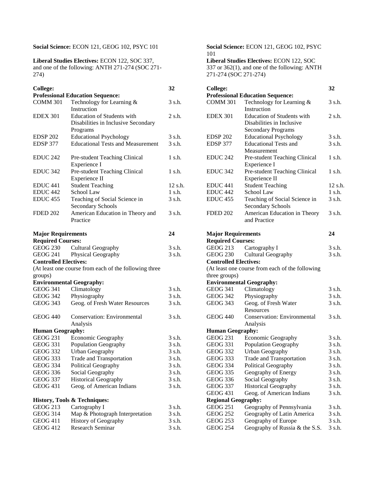#### **Social Science:** ECON 121, GEOG 102, PSYC 101 **Social Science:** ECON 121, GEOG 102, PSYC

**Liberal Studies Electives:** ECON 122, SOC 337, and one of the following: ANTH 271-274 (SOC 271- 274)

| <b>College:</b>                         |                                                                          | 32        | <b>College:</b>                         |                                                           | 32          |
|-----------------------------------------|--------------------------------------------------------------------------|-----------|-----------------------------------------|-----------------------------------------------------------|-------------|
| <b>Professional Education Sequence:</b> |                                                                          |           | <b>Professional Education Sequence:</b> |                                                           |             |
| <b>COMM 301</b>                         | Technology for Learning &<br>Instruction                                 | 3 s.h.    | <b>COMM 301</b>                         | Technology for Learning &<br>Instruction                  | 3 s.h.      |
| <b>EDEX 301</b>                         | <b>Education of Students with</b><br>Disabilities in Inclusive Secondary | $2$ s.h.  | <b>EDEX 301</b>                         | Education of Students with<br>Disabilities in Inclusive   | 2 s.h.      |
|                                         | Programs                                                                 |           |                                         | <b>Secondary Programs</b>                                 |             |
| <b>EDSP 202</b>                         | <b>Educational Psychology</b>                                            | 3 s.h.    | <b>EDSP 202</b>                         | <b>Educational Psychology</b>                             | 3 s.h.      |
| EDSP 377                                | <b>Educational Tests and Measurement</b>                                 | 3 s.h.    | EDSP 377                                | <b>Educational Tests and</b><br>Measurement               | 3 s.h.      |
| <b>EDUC 242</b>                         | Pre-student Teaching Clinical<br>Experience I                            | $1$ s.h.  | <b>EDUC 242</b>                         | Pre-student Teaching Clinical<br>Experience I             | $1$ s.h.    |
| <b>EDUC 342</b>                         | Pre-student Teaching Clinical<br>Experience II                           | $1$ s.h.  | EDUC <sub>342</sub>                     | Pre-student Teaching Clinical<br>Experience II            | $1 \,$ s.h. |
| EDUC <sub>441</sub>                     | <b>Student Teaching</b>                                                  | $12$ s.h. | EDUC <sub>441</sub>                     | <b>Student Teaching</b>                                   | 12 s.h.     |
| EDUC <sub>442</sub>                     | School Law                                                               | $1$ s.h.  | EDUC <sub>442</sub>                     | School Law                                                | $1$ s.h.    |
| <b>EDUC</b> 455                         | Teaching of Social Science in<br><b>Secondary Schools</b>                | 3 s.h.    | EDUC <sub>455</sub>                     | Teaching of Social Science in<br><b>Secondary Schools</b> | 3 s.h.      |
| <b>FDED 202</b>                         | American Education in Theory and                                         | 3 s.h.    | <b>FDED 202</b>                         | American Education in Theory                              | 3 s.h.      |
|                                         | Practice                                                                 |           |                                         | and Practice                                              |             |
| <b>Major Requirements</b>               |                                                                          | 24        | <b>Major Requirements</b>               |                                                           | 24          |
| <b>Required Courses:</b>                |                                                                          |           | <b>Required Courses:</b>                |                                                           |             |
| <b>GEOG 230</b>                         | Cultural Geography                                                       | 3 s.h.    | <b>GEOG 213</b>                         | Cartography I                                             | 3 s.h.      |
| <b>GEOG 241</b>                         | Physical Geography                                                       | 3 s.h.    | <b>GEOG 230</b>                         | Cultural Geography                                        | 3 s.h.      |
| <b>Controlled Electives:</b>            |                                                                          |           | <b>Controlled Electives:</b>            |                                                           |             |
|                                         | (At least one course from each of the following three                    |           |                                         | (At least one course from each of the following           |             |
| groups)                                 |                                                                          |           | three groups)                           |                                                           |             |
|                                         | <b>Environmental Geography:</b>                                          |           |                                         | <b>Environmental Geography:</b>                           |             |
| <b>GEOG 341</b>                         | Climatology                                                              | 3 s.h.    | <b>GEOG 341</b>                         | Climatology                                               | 3 s.h.      |
| <b>GEOG 342</b>                         | Physiography                                                             | 3 s.h.    | <b>GEOG 342</b>                         | Physiography                                              | 3 s.h.      |
| <b>GEOG 343</b>                         | Geog. of Fresh Water Resources                                           | 3 s.h.    | <b>GEOG 343</b>                         | Geog. of Fresh Water<br>Resources                         | 3 s.h.      |
| <b>GEOG 440</b>                         | Conservation: Environmental                                              | 3 s.h.    | <b>GEOG 440</b>                         | <b>Conservation: Environmental</b>                        | 3 s.h.      |
|                                         | Analysis                                                                 |           |                                         | Analysis                                                  |             |
| <b>Human Geography:</b>                 | <b>Economic Geography</b>                                                |           | <b>Human Geography:</b>                 |                                                           | 3 s.h.      |
| <b>GEOG 231</b>                         |                                                                          | 3 s.h.    | <b>GEOG 231</b>                         | <b>Economic Geography</b>                                 |             |
| <b>GEOG 331</b>                         | Population Geography                                                     | 3 s.h.    | <b>GEOG 331</b>                         | Population Geography                                      | 3 s.h.      |
| <b>GEOG 332</b>                         | <b>Urban Geography</b>                                                   | 3 s.h.    | <b>GEOG 332</b>                         | Urban Geography                                           | 3 s.h.      |
| <b>GEOG 333</b>                         | Trade and Transportation                                                 | 3 s.h.    | <b>GEOG 333</b>                         | Trade and Transportation                                  | 3 s.h.      |
| <b>GEOG 334</b>                         | Political Geography                                                      | 3 s.h.    | <b>GEOG 334</b>                         | Political Geography                                       | 3 s.h.      |
| <b>GEOG 336</b>                         | Social Geography                                                         | 3 s.h.    | <b>GEOG 335</b>                         | Geography of Energy                                       | 3 s.h.      |
| <b>GEOG 337</b>                         | <b>Historical Geography</b>                                              | 3 s.h.    | <b>GEOG 336</b>                         | Social Geography                                          | 3 s.h.      |
| <b>GEOG 431</b>                         | Geog. of American Indians                                                | 3 s.h.    | <b>GEOG 337</b>                         | <b>Historical Geography</b>                               | 3 s.h.      |
|                                         |                                                                          |           | <b>GEOG 431</b>                         | Geog. of American Indians                                 | 3 s.h.      |
|                                         | History, Tools & Techniques:                                             |           | <b>Regional Geography:</b>              |                                                           |             |
| <b>GEOG 213</b>                         | Cartography I                                                            | 3 s.h.    | <b>GEOG 251</b>                         | Geography of Pennsylvania                                 | 3 s.h.      |
| <b>GEOG 314</b>                         | Map & Photograph Interpretation                                          | 3 s.h.    | <b>GEOG 252</b>                         | Geography of Latin America                                | 3 s.h.      |
| <b>GEOG 411</b>                         | History of Geography                                                     | 3 s.h.    | <b>GEOG 253</b>                         | Geography of Europe                                       | 3 s.h.      |
| <b>GEOG 412</b>                         | Research Seminar                                                         | 3 s.h.    | <b>GEOG 254</b>                         | Geography of Russia & the S.S.                            | 3 s.h.      |

# 101 **Liberal Studies Electives:** ECON 122, SOC

337 or 362(1), and one of the following: ANTH 271-274 (SOC 271-274)

| 32      | <b>College:</b>                              |                                                                                             | 32               |  |
|---------|----------------------------------------------|---------------------------------------------------------------------------------------------|------------------|--|
|         |                                              | <b>Professional Education Sequence:</b>                                                     |                  |  |
| 3 s.h.  | <b>COMM 301</b>                              | Technology for Learning &<br>Instruction                                                    | 3 s.h.           |  |
| 2 s.h.  | <b>EDEX 301</b>                              | <b>Education of Students with</b><br>Disabilities in Inclusive<br><b>Secondary Programs</b> | 2 s.h.           |  |
| 3 s.h.  | EDSP <sub>202</sub>                          | <b>Educational Psychology</b>                                                               | 3 s.h.           |  |
| 3 s.h.  | EDSP 377                                     | <b>Educational Tests and</b>                                                                | 3 s.h.           |  |
|         |                                              | Measurement                                                                                 |                  |  |
| 1 s.h.  | <b>EDUC 242</b>                              | Pre-student Teaching Clinical<br>Experience I                                               | $1 \text{ s.h.}$ |  |
| 1 s.h.  | EDUC <sub>342</sub>                          | Pre-student Teaching Clinical<br>Experience II                                              | 1 s.h.           |  |
| 12 s.h. | EDUC <sub>441</sub>                          | <b>Student Teaching</b>                                                                     | 12 s.t           |  |
| 1 s.h.  | EDUC <sub>442</sub>                          | School Law                                                                                  | $1$ s.h.         |  |
| 3 s.h.  | <b>EDUC 455</b>                              | Teaching of Social Science in                                                               | 3 s.h.           |  |
|         |                                              | Secondary Schools                                                                           |                  |  |
| 3 s.h.  | <b>FDED 202</b>                              | American Education in Theory<br>and Practice                                                | 3 s.h.           |  |
| 24      |                                              | <b>Major Requirements</b>                                                                   |                  |  |
|         | <b>Required Courses:</b>                     |                                                                                             |                  |  |
| 3 s.h.  | <b>GEOG 213</b>                              | Cartography I                                                                               | 3 s.h.<br>3 s.h. |  |
| 3 s.h.  | <b>GEOG 230</b><br><b>Cultural Geography</b> |                                                                                             |                  |  |
|         | <b>Controlled Electives:</b>                 |                                                                                             |                  |  |
|         |                                              | (At least one course from each of the following                                             |                  |  |
|         | three groups)                                |                                                                                             |                  |  |
|         |                                              | <b>Environmental Geography:</b>                                                             |                  |  |
| 3 s.h.  | <b>GEOG 341</b>                              | Climatology                                                                                 | 3 s.h.<br>3 s.h. |  |
| 3 s.h.  | <b>GEOG 342</b>                              | Physiography                                                                                |                  |  |
| 3 s.h.  | <b>GEOG 343</b>                              | Geog. of Fresh Water<br>Resources                                                           | 3 s.h.           |  |
| 3 s.h.  | <b>GEOG 440</b>                              | Conservation: Environmental                                                                 | 3 s.h.           |  |
|         |                                              | Analysis                                                                                    |                  |  |
|         | <b>Human Geography:</b>                      |                                                                                             |                  |  |
| 3 s.h.  | <b>GEOG 231</b>                              | Economic Geography                                                                          | 3 s.h.           |  |
| 3 s.h.  | <b>GEOG 331</b>                              | Population Geography                                                                        | 3 s.h.           |  |
| 3 s.h.  | <b>GEOG 332</b>                              | <b>Urban Geography</b>                                                                      | 3 s.h.           |  |
| 3 s.h.  | <b>GEOG 333</b>                              | Trade and Transportation                                                                    | 3 s.h.           |  |
| 3 s.h.  | <b>GEOG 334</b>                              | Political Geography                                                                         | 3 s.h.           |  |
| 3 s.h.  | <b>GEOG 335</b>                              | Geography of Energy                                                                         | 3 s.h.           |  |
| 3 s.h.  | <b>GEOG 336</b>                              | Social Geography                                                                            | 3 s.h.           |  |
| 3 s.h.  | <b>GEOG 337</b>                              | <b>Historical Geography</b>                                                                 | 3 s.h.           |  |
|         | <b>GEOG 431</b>                              | Geog. of American Indians                                                                   | 3 s.h.           |  |
|         | <b>Regional Geography:</b>                   |                                                                                             |                  |  |
| 3 s.h.  | <b>GEOG 251</b>                              | Geography of Pennsylvania                                                                   | 3 s.h.           |  |
| 3 s.h.  | <b>GEOG 252</b>                              | Geography of Latin America                                                                  | 3 s.h.           |  |
| 3 s.h.  | <b>GEOG 253</b>                              | Geography of Europe                                                                         | 3 s.h.           |  |
| 3 s.h.  | <b>GEOG 254</b>                              |                                                                                             | 3 s.h.           |  |
|         |                                              | Geography of Russia & the S.S.                                                              |                  |  |